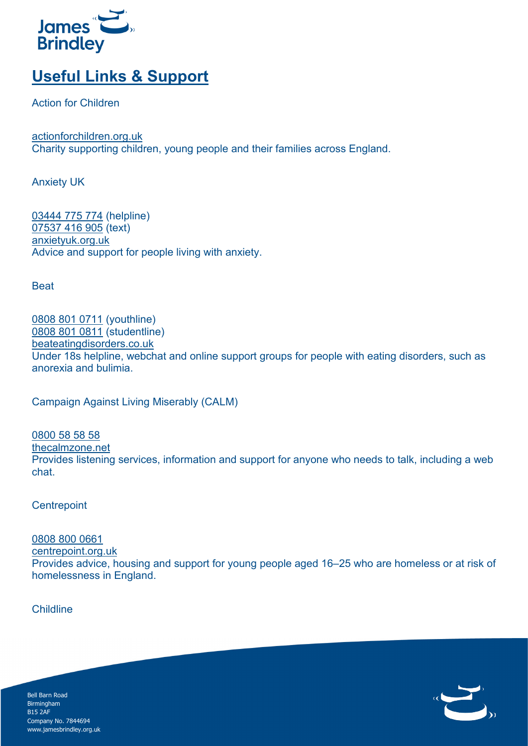

## **Useful Links & Support**

Action for Children

[actionforchildren.org.uk](https://www.actionforchildren.org.uk/) Charity supporting children, young people and their families across England.

Anxiety UK

[03444 775 774](tel:+44-3444-775-774) (helpline) [07537 416 905](sms:+44-7537-416-905) (text) [anxietyuk.org.uk](https://www.anxietyuk.org.uk/) Advice and support for people living with anxiety.

**Beat** 

[0808 801 0711](tel:+44-808-801-0711) (youthline) [0808 801 0811](tel:+44-808-801-0811) (studentline) [beateatingdisorders.co.uk](https://www.beateatingdisorders.org.uk/) Under 18s helpline, webchat and online support groups for people with eating disorders, such as anorexia and bulimia.

Campaign Against Living Miserably (CALM)

[0800 58 58 58](tel:+44-800-58-58-58) [thecalmzone.net](https://www.thecalmzone.net/) Provides listening services, information and support for anyone who needs to talk, including a web chat.

**Centrepoint** 

[0808 800 0661](tel:+44-808-800-0661) [centrepoint.org.uk](https://centrepoint.org.uk/) Provides advice, housing and support for young people aged 16–25 who are homeless or at risk of homelessness in England.

Childline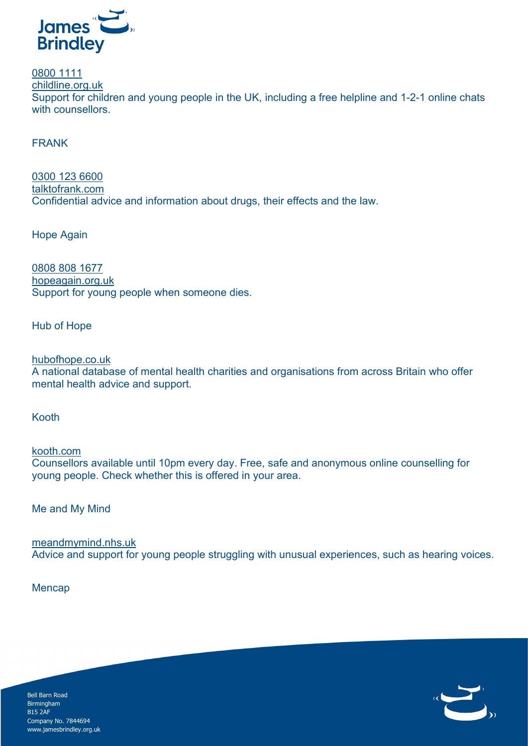

[0800 1111](tel:+44-800-1111) [childline.org.uk](https://www.childline.org.uk/) Support for children and young people in the UK, including a free helpline and 1-2-1 online chats with counsellors.

FRANK

[0300 123 6600](tel:+44-300-123-6600) [talktofrank.com](https://www.talktofrank.com/) Confidential advice and information about drugs, their effects and the law.

Hope Again

[0808 808 1677](tel:+44-808-808-1677) [hopeagain.org.uk](https://www.hopeagain.org.uk/) Support for young people when someone dies.

Hub of Hope

[hubofhope.co.uk](https://hubofhope.co.uk/#/) A national database of mental health charities and organisations from across Britain who offer mental health advice and support.

Kooth

[kooth.com](https://www.kooth.com/) Counsellors available until 10pm every day. Free, safe and anonymous online counselling for young people. Check whether this is offered in your area.

Me and My Mind

[meandmymind.nhs.uk](http://meandmymind.nhs.uk/) Advice and support for young people struggling with unusual experiences, such as hearing voices.

**Mencap**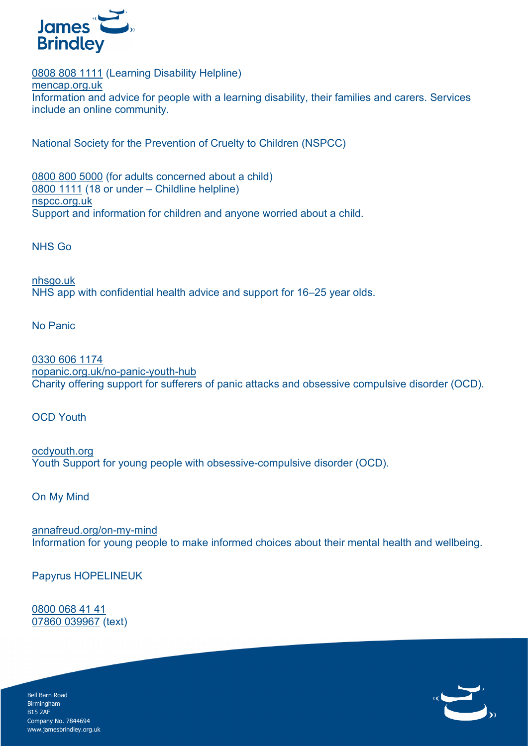

[0808 808 1111](tel:+44-808-808-1111) (Learning Disability Helpline) [mencap.org.uk](https://www.mencap.org.uk/) Information and advice for people with a learning disability, their families and carers. Services include an online community.

National Society for the Prevention of Cruelty to Children (NSPCC)

[0800 800 5000](tel:+44-800-800-5000) (for adults concerned about a child) [0800 1111](tel:+44-800-1111) (18 or under – Childline helpline) [nspcc.org.uk](https://www.nspcc.org.uk/) Support and information for children and anyone worried about a child.

NHS Go

[nhsgo.uk](https://nhsgo.uk/) NHS app with confidential health advice and support for 16–25 year olds.

No Panic

[0330 606 1174](tel:+44-330-606-1147) [nopanic.org.uk/no-panic-youth-hub](https://nopanic.org.uk/no-panic-youth-hub/) Charity offering support for sufferers of panic attacks and obsessive compulsive disorder (OCD).

OCD Youth

[ocdyouth.org](https://ocdyouth.org/contact/) Youth Support for young people with obsessive-compulsive disorder (OCD).

On My Mind

[annafreud.org/on-my-mind](https://www.annafreud.org/on-my-mind/) Information for young people to make informed choices about their mental health and wellbeing.

Papyrus HOPELINEUK

[0800 068 41 41](tel:+44-800-068-41-41) [07860 039967](tel:+44-7860-039-967) (text)

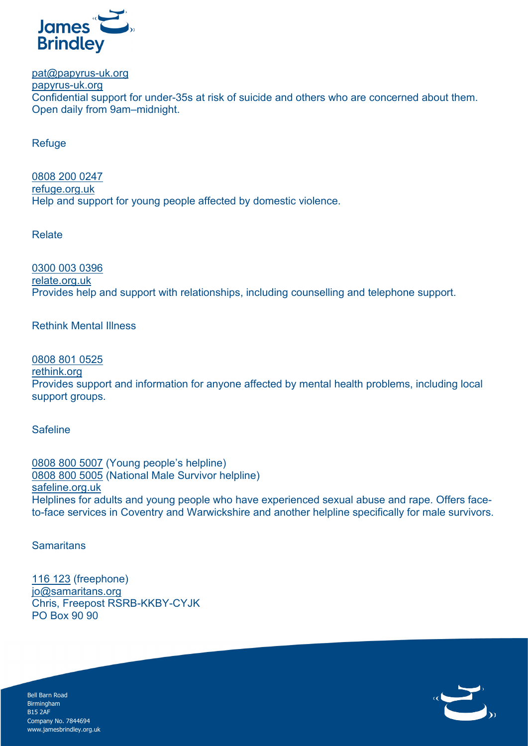

[pat@papyrus-uk.org](mailto:pat@papyrus-uk.org)

[papyrus-uk.org](https://www.papyrus-uk.org/) Confidential support for under-35s at risk of suicide and others who are concerned about them. Open daily from 9am–midnight.

Refuge

[0808 200 0247](tel:+44-808-200-0247) [refuge.org.uk](https://www.refuge.org.uk/) Help and support for young people affected by domestic violence.

Relate

[0300 003 0396](tel:+44-300-003-0396) [relate.org.uk](https://www.relate.org.uk/) Provides help and support with relationships, including counselling and telephone support.

Rethink Mental Illness

[0808 801 0525](te:+44-0808-801-0525) [rethink.org](https://www.rethink.org/) Provides support and information for anyone affected by mental health problems, including local support groups.

Safeline

[0808 800 5007](tel:+44-808-800-5007) (Young people's helpline) [0808 800 5005](tel:+44-808-800-5005) (National Male Survivor helpline) [safeline.org.uk](https://www.safeline.org.uk/) Helplines for adults and young people who have experienced sexual abuse and rape. Offers faceto-face services in Coventry and Warwickshire and another helpline specifically for male survivors.

**Samaritans** 

[116 123](tel:+44-116-123) (freephone) [jo@samaritans.org](mailto:jo@samaritans.org) Chris, Freepost RSRB-KKBY-CYJK PO Box 90 90

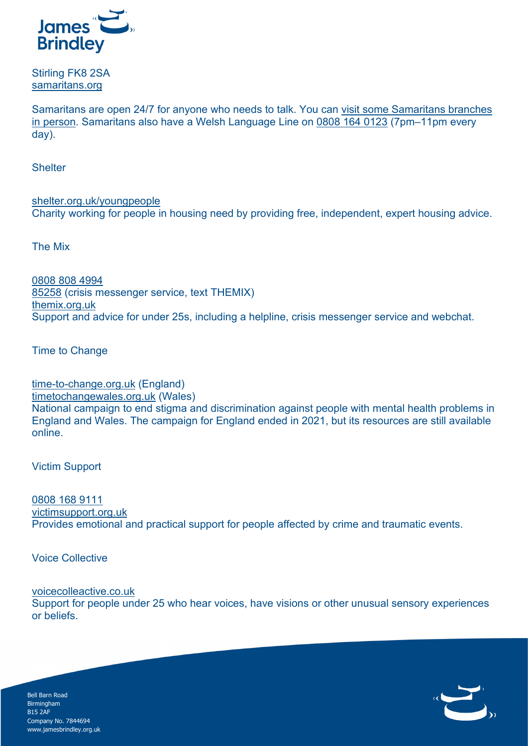

Stirling FK8 2SA [samaritans.org](https://www.samaritans.org/)

Samaritans are open 24/7 for anyone who needs to talk. You can [visit some Samaritans branches](https://www.samaritans.org/branches)  [in person.](https://www.samaritans.org/branches) Samaritans also have a Welsh Language Line on [0808 164 0123](tel:+44-808-164-0123) (7pm–11pm every day).

**Shelter** 

[shelter.org.uk/youngpeople](http://england.shelter.org.uk/housing_advice/housing_for_young_people) Charity working for people in housing need by providing free, independent, expert housing advice.

The Mix

[0808 808 4994](tel:+44-808-808-4994) [85258](sms:+4485258) (crisis messenger service, text THEMIX) [themix.org.uk](https://www.themix.org.uk/) Support and advice for under 25s, including a helpline, crisis messenger service and webchat.

Time to Change

[time-to-change.org.uk](https://www.time-to-change.org.uk/) (England) [timetochangewales.org.uk](https://www.timetochangewales.org.uk/) (Wales) National campaign to end stigma and discrimination against people with mental health problems in England and Wales. The campaign for England ended in 2021, but its resources are still available online.

Victim Support

[0808 168 9111](tel:+44-808-168-9111) [victimsupport.org.uk](https://www.victimsupport.org.uk/) Provides emotional and practical support for people affected by crime and traumatic events.

Voice Collective

[voicecolleactive.co.uk](http://www.voicecollective.co.uk/)

Support for people under 25 who hear voices, have visions or other unusual sensory experiences or beliefs.